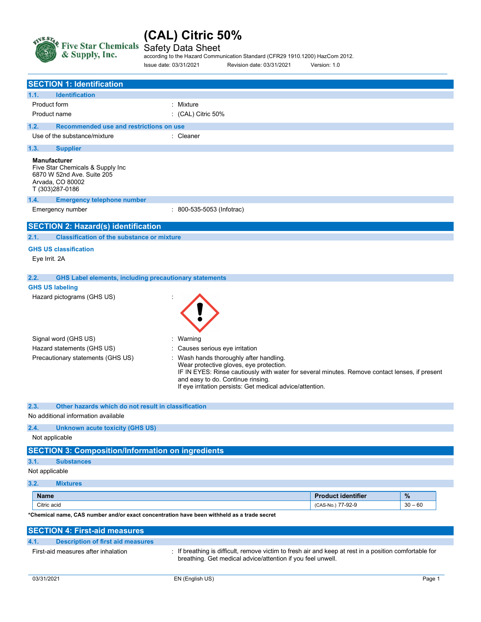

Safety Data Sheet

according to the Hazard Communication Standard (CFR29 1910.1200) HazCom 2012. Issue date: 03/31/2021 Revision date: 03/31/2021 Version: 1.0

| <b>SECTION 1: Identification</b>                                                                                             |                                                                                                                                                                                                                                                                                                                       |
|------------------------------------------------------------------------------------------------------------------------------|-----------------------------------------------------------------------------------------------------------------------------------------------------------------------------------------------------------------------------------------------------------------------------------------------------------------------|
| <b>Identification</b><br>1.1.                                                                                                |                                                                                                                                                                                                                                                                                                                       |
| Product form                                                                                                                 | : Mixture                                                                                                                                                                                                                                                                                                             |
| Product name                                                                                                                 | : (CAL) Citric 50%                                                                                                                                                                                                                                                                                                    |
| 1.2.<br>Recommended use and restrictions on use                                                                              |                                                                                                                                                                                                                                                                                                                       |
| Use of the substance/mixture                                                                                                 | : Cleaner                                                                                                                                                                                                                                                                                                             |
| 1.3.<br><b>Supplier</b>                                                                                                      |                                                                                                                                                                                                                                                                                                                       |
| <b>Manufacturer</b><br>Five Star Chemicals & Supply Inc<br>6870 W 52nd Ave. Suite 205<br>Arvada, CO 80002<br>T (303)287-0186 |                                                                                                                                                                                                                                                                                                                       |
| 1.4.<br><b>Emergency telephone number</b>                                                                                    |                                                                                                                                                                                                                                                                                                                       |
| Emergency number                                                                                                             | : 800-535-5053 (Infotrac)                                                                                                                                                                                                                                                                                             |
| <b>SECTION 2: Hazard(s) identification</b>                                                                                   |                                                                                                                                                                                                                                                                                                                       |
| <b>Classification of the substance or mixture</b><br>2.1.                                                                    |                                                                                                                                                                                                                                                                                                                       |
| <b>GHS US classification</b><br>Eye Irrit. 2A                                                                                |                                                                                                                                                                                                                                                                                                                       |
| 2.2.<br><b>GHS Label elements, including precautionary statements</b>                                                        |                                                                                                                                                                                                                                                                                                                       |
| <b>GHS US labeling</b>                                                                                                       |                                                                                                                                                                                                                                                                                                                       |
| Hazard pictograms (GHS US)                                                                                                   |                                                                                                                                                                                                                                                                                                                       |
| Signal word (GHS US)                                                                                                         | Warning                                                                                                                                                                                                                                                                                                               |
| Hazard statements (GHS US)<br>Precautionary statements (GHS US)                                                              | Causes serious eye irritation<br>Wash hands thoroughly after handling.<br>Wear protective gloves, eye protection.<br>IF IN EYES: Rinse cautiously with water for several minutes. Remove contact lenses, if present<br>and easy to do. Continue rinsing.<br>If eye irritation persists: Get medical advice/attention. |
| 2.3.<br>Other hazards which do not result in classification                                                                  |                                                                                                                                                                                                                                                                                                                       |
| No additional information available                                                                                          |                                                                                                                                                                                                                                                                                                                       |
| <b>Unknown acute toxicity (GHS US)</b><br>2.4.                                                                               |                                                                                                                                                                                                                                                                                                                       |
| Not applicable                                                                                                               |                                                                                                                                                                                                                                                                                                                       |
| <b>SECTION 3: Composition/Information on ingredients</b>                                                                     |                                                                                                                                                                                                                                                                                                                       |
| 3.1.<br><b>Substances</b>                                                                                                    |                                                                                                                                                                                                                                                                                                                       |
| Not applicable                                                                                                               |                                                                                                                                                                                                                                                                                                                       |
| 3.2.<br><b>Mixtures</b>                                                                                                      |                                                                                                                                                                                                                                                                                                                       |
| <b>Name</b>                                                                                                                  | %<br><b>Product identifier</b>                                                                                                                                                                                                                                                                                        |
| Citric acid                                                                                                                  | $30 - 60$<br>(CAS-No.) 77-92-9                                                                                                                                                                                                                                                                                        |
| *Chemical name, CAS number and/or exact concentration have been withheld as a trade secret                                   |                                                                                                                                                                                                                                                                                                                       |
| <b>SECTION 4: First-aid measures</b>                                                                                         |                                                                                                                                                                                                                                                                                                                       |
| <b>Description of first aid measures</b><br>4.1.                                                                             |                                                                                                                                                                                                                                                                                                                       |
| First-aid measures after inhalation                                                                                          | If breathing is difficult, remove victim to fresh air and keep at rest in a position comfortable for<br>breathing. Get medical advice/attention if you feel unwell.                                                                                                                                                   |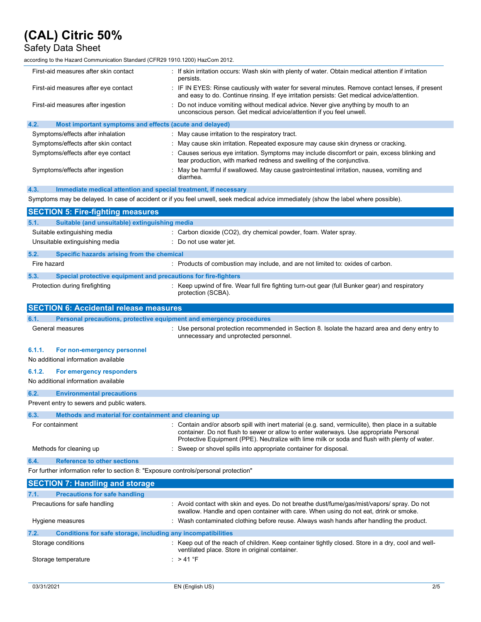# Safety Data Sheet

according to the Hazard Communication Standard (CFR29 1910.1200) HazCom 2012.

| First-aid measures after skin contact<br>persists. |                                                                                     | If skin irritation occurs: Wash skin with plenty of water. Obtain medical attention if irritation                                                                                                                                                                                             |  |
|----------------------------------------------------|-------------------------------------------------------------------------------------|-----------------------------------------------------------------------------------------------------------------------------------------------------------------------------------------------------------------------------------------------------------------------------------------------|--|
| First-aid measures after eye contact               |                                                                                     | IF IN EYES: Rinse cautiously with water for several minutes. Remove contact lenses, if present<br>and easy to do. Continue rinsing. If eye irritation persists: Get medical advice/attention.                                                                                                 |  |
|                                                    | First-aid measures after ingestion                                                  | Do not induce vomiting without medical advice. Never give anything by mouth to an<br>unconscious person. Get medical advice/attention if you feel unwell.                                                                                                                                     |  |
| 4.2.                                               | Most important symptoms and effects (acute and delayed)                             |                                                                                                                                                                                                                                                                                               |  |
|                                                    | Symptoms/effects after inhalation                                                   | : May cause irritation to the respiratory tract.                                                                                                                                                                                                                                              |  |
|                                                    | Symptoms/effects after skin contact                                                 | May cause skin irritation. Repeated exposure may cause skin dryness or cracking.                                                                                                                                                                                                              |  |
|                                                    | Symptoms/effects after eye contact                                                  | Causes serious eye irritation. Symptoms may include discomfort or pain, excess blinking and<br>tear production, with marked redness and swelling of the conjunctiva.                                                                                                                          |  |
|                                                    | Symptoms/effects after ingestion                                                    | : May be harmful if swallowed. May cause gastrointestinal irritation, nausea, vomiting and<br>diarrhea.                                                                                                                                                                                       |  |
| 4.3.                                               | Immediate medical attention and special treatment, if necessary                     |                                                                                                                                                                                                                                                                                               |  |
|                                                    |                                                                                     | Symptoms may be delayed. In case of accident or if you feel unwell, seek medical advice immediately (show the label where possible).                                                                                                                                                          |  |
|                                                    | <b>SECTION 5: Fire-fighting measures</b>                                            |                                                                                                                                                                                                                                                                                               |  |
| 5.1.                                               | Suitable (and unsuitable) extinguishing media                                       |                                                                                                                                                                                                                                                                                               |  |
|                                                    | Suitable extinguishing media                                                        | : Carbon dioxide (CO2), dry chemical powder, foam. Water spray.                                                                                                                                                                                                                               |  |
|                                                    | Unsuitable extinguishing media                                                      | : Do not use water jet.                                                                                                                                                                                                                                                                       |  |
| 5.2.                                               | Specific hazards arising from the chemical                                          |                                                                                                                                                                                                                                                                                               |  |
| Fire hazard                                        |                                                                                     | : Products of combustion may include, and are not limited to: oxides of carbon.                                                                                                                                                                                                               |  |
|                                                    |                                                                                     |                                                                                                                                                                                                                                                                                               |  |
| 5.3.                                               | Special protective equipment and precautions for fire-fighters                      |                                                                                                                                                                                                                                                                                               |  |
|                                                    | Protection during firefighting                                                      | Keep upwind of fire. Wear full fire fighting turn-out gear (full Bunker gear) and respiratory<br>protection (SCBA).                                                                                                                                                                           |  |
|                                                    | <b>SECTION 6: Accidental release measures</b>                                       |                                                                                                                                                                                                                                                                                               |  |
|                                                    |                                                                                     |                                                                                                                                                                                                                                                                                               |  |
| 6.1.                                               | Personal precautions, protective equipment and emergency procedures                 |                                                                                                                                                                                                                                                                                               |  |
|                                                    | General measures                                                                    | Use personal protection recommended in Section 8. Isolate the hazard area and deny entry to<br>unnecessary and unprotected personnel.                                                                                                                                                         |  |
| 6.1.1.                                             | For non-emergency personnel                                                         |                                                                                                                                                                                                                                                                                               |  |
|                                                    | No additional information available                                                 |                                                                                                                                                                                                                                                                                               |  |
| 6.1.2.                                             |                                                                                     |                                                                                                                                                                                                                                                                                               |  |
|                                                    | For emergency responders<br>No additional information available                     |                                                                                                                                                                                                                                                                                               |  |
|                                                    |                                                                                     |                                                                                                                                                                                                                                                                                               |  |
| 6.2.                                               | <b>Environmental precautions</b>                                                    |                                                                                                                                                                                                                                                                                               |  |
|                                                    | Prevent entry to sewers and public waters.                                          |                                                                                                                                                                                                                                                                                               |  |
| 6.3.                                               | Methods and material for containment and cleaning up                                |                                                                                                                                                                                                                                                                                               |  |
|                                                    | For containment                                                                     | Contain and/or absorb spill with inert material (e.g. sand, vermiculite), then place in a suitable<br>container. Do not flush to sewer or allow to enter waterways. Use appropriate Personal<br>Protective Equipment (PPE). Neutralize with lime milk or soda and flush with plenty of water. |  |
|                                                    | Methods for cleaning up                                                             | Sweep or shovel spills into appropriate container for disposal.                                                                                                                                                                                                                               |  |
|                                                    | <b>Reference to other sections</b>                                                  |                                                                                                                                                                                                                                                                                               |  |
| 6.4.                                               | For further information refer to section 8: "Exposure controls/personal protection" |                                                                                                                                                                                                                                                                                               |  |
|                                                    |                                                                                     |                                                                                                                                                                                                                                                                                               |  |
|                                                    | <b>SECTION 7: Handling and storage</b>                                              |                                                                                                                                                                                                                                                                                               |  |
| 7.1.                                               | <b>Precautions for safe handling</b>                                                |                                                                                                                                                                                                                                                                                               |  |
|                                                    | Precautions for safe handling                                                       | : Avoid contact with skin and eyes. Do not breathe dust/fume/gas/mist/vapors/ spray. Do not<br>swallow. Handle and open container with care. When using do not eat, drink or smoke.                                                                                                           |  |
|                                                    | Hygiene measures                                                                    | Wash contaminated clothing before reuse. Always wash hands after handling the product.                                                                                                                                                                                                        |  |
| 7.2.                                               | Conditions for safe storage, including any incompatibilities                        |                                                                                                                                                                                                                                                                                               |  |
|                                                    | Storage conditions                                                                  | : Keep out of the reach of children. Keep container tightly closed. Store in a dry, cool and well-<br>ventilated place. Store in original container.                                                                                                                                          |  |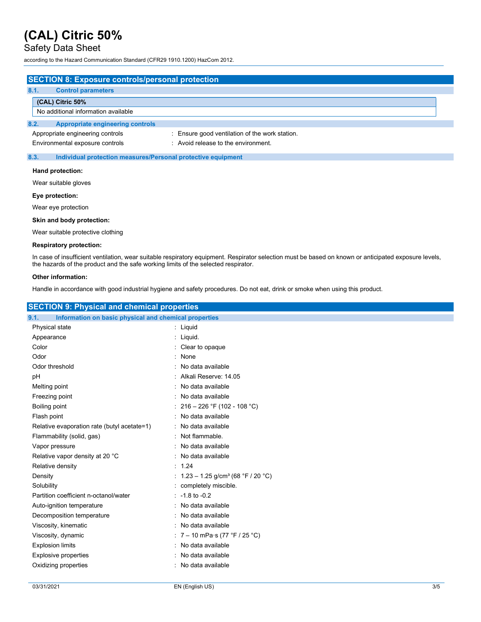Safety Data Sheet

according to the Hazard Communication Standard (CFR29 1910.1200) HazCom 2012.

| <b>SECTION 8: Exposure controls/personal protection</b> |                                                              |
|---------------------------------------------------------|--------------------------------------------------------------|
| 8.1.<br><b>Control parameters</b>                       |                                                              |
| (CAL) Citric 50%                                        |                                                              |
| No additional information available                     |                                                              |
| 8.2.<br><b>Appropriate engineering controls</b>         |                                                              |
| Appropriate engineering controls                        | : Ensure good ventilation of the work station.               |
| Environmental exposure controls                         | : Avoid release to the environment.                          |
| 8.3.                                                    | Individual protection measures/Personal protective equipment |

### Hand protection:

Wear suitable gloves

Eye protection:

Wear eye protection

## Skin and body protection:

Wear suitable protective clothing

### Respiratory protection:

In case of insufficient ventilation, wear suitable respiratory equipment. Respirator selection must be based on known or anticipated exposure levels, the hazards of the product and the safe working limits of the selected respirator.

### Other information:

Handle in accordance with good industrial hygiene and safety procedures. Do not eat, drink or smoke when using this product.

| <b>SECTION 9: Physical and chemical properties</b>            |                                                   |
|---------------------------------------------------------------|---------------------------------------------------|
| Information on basic physical and chemical properties<br>9.1. |                                                   |
| Physical state                                                | : Liquid                                          |
| Appearance                                                    | : Liquid.                                         |
| Color                                                         | : Clear to opaque                                 |
| Odor                                                          | : None                                            |
| Odor threshold                                                | : No data available                               |
| рH                                                            | : Alkali Reserve: 14.05                           |
| Melting point                                                 | : No data available                               |
| Freezing point                                                | : No data available                               |
| Boiling point                                                 | : $216 - 226$ °F (102 - 108 °C)                   |
| Flash point                                                   | : No data available                               |
| Relative evaporation rate (butyl acetate=1)                   | : No data available                               |
| Flammability (solid, gas)                                     | : Not flammable.                                  |
| Vapor pressure                                                | : No data available                               |
| Relative vapor density at 20 °C                               | : No data available                               |
| Relative density                                              | : 1.24                                            |
| Density                                                       | : $1.23 - 1.25$ g/cm <sup>3</sup> (68 °F / 20 °C) |
| Solubility                                                    | completely miscible.                              |
| Partition coefficient n-octanol/water                         | $\therefore$ -1.8 to -0.2                         |
| Auto-ignition temperature                                     | : No data available                               |
| Decomposition temperature                                     | : No data available                               |
| Viscosity, kinematic                                          | : No data available                               |
| Viscosity, dynamic                                            | : $7 - 10$ mPa $\cdot$ s (77 °F / 25 °C)          |
| <b>Explosion limits</b>                                       | : No data available                               |
| <b>Explosive properties</b>                                   | : No data available                               |
| Oxidizing properties                                          | : No data available                               |
|                                                               |                                                   |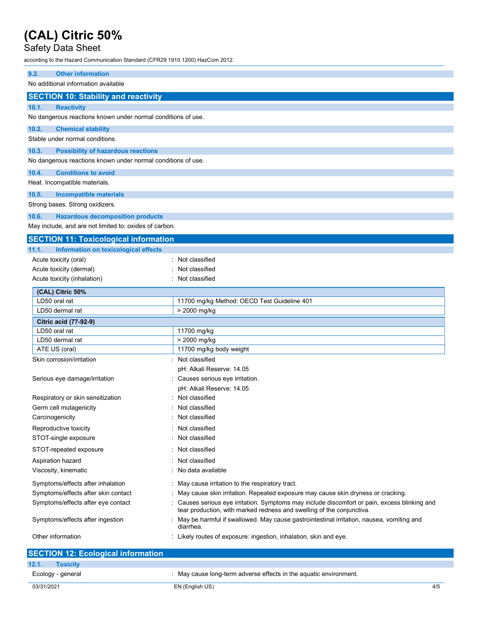# Safety Data Sheet

according to the Hazard Communication Standard (CFR29 1910.1200) HazCom 2012.

| <b>Other information</b><br>9.2.                             |                                                                                                                                                                        |
|--------------------------------------------------------------|------------------------------------------------------------------------------------------------------------------------------------------------------------------------|
| No additional information available                          |                                                                                                                                                                        |
| <b>SECTION 10: Stability and reactivity</b>                  |                                                                                                                                                                        |
| 10.1.<br><b>Reactivity</b>                                   |                                                                                                                                                                        |
| No dangerous reactions known under normal conditions of use. |                                                                                                                                                                        |
| 10.2.<br><b>Chemical stability</b>                           |                                                                                                                                                                        |
| Stable under normal conditions.                              |                                                                                                                                                                        |
| 10.3.<br><b>Possibility of hazardous reactions</b>           |                                                                                                                                                                        |
| No dangerous reactions known under normal conditions of use. |                                                                                                                                                                        |
| 10.4.<br><b>Conditions to avoid</b>                          |                                                                                                                                                                        |
| Heat. Incompatible materials.                                |                                                                                                                                                                        |
| 10.5.<br>Incompatible materials                              |                                                                                                                                                                        |
| Strong bases. Strong oxidizers.                              |                                                                                                                                                                        |
| 10.6.<br><b>Hazardous decomposition products</b>             |                                                                                                                                                                        |
| May include, and are not limited to: oxides of carbon.       |                                                                                                                                                                        |
| <b>SECTION 11: Toxicological information</b>                 |                                                                                                                                                                        |
| 11.1.<br>Information on toxicological effects                |                                                                                                                                                                        |
| Acute toxicity (oral)                                        | : Not classified                                                                                                                                                       |
| Acute toxicity (dermal)                                      | Not classified                                                                                                                                                         |
| Acute toxicity (inhalation)                                  | Not classified                                                                                                                                                         |
| (CAL) Citric 50%                                             |                                                                                                                                                                        |
| LD50 oral rat                                                | 11700 mg/kg Method: OECD Test Guideline 401                                                                                                                            |
| LD50 dermal rat                                              | > 2000 mg/kg                                                                                                                                                           |
| Citric acid (77-92-9)                                        |                                                                                                                                                                        |
| LD50 oral rat                                                | 11700 mg/kg                                                                                                                                                            |
| LD50 dermal rat                                              | > 2000 mg/kg                                                                                                                                                           |
| ATE US (oral)                                                | 11700 mg/kg body weight                                                                                                                                                |
| Skin corrosion/irritation                                    | Not classified                                                                                                                                                         |
|                                                              | pH: Alkali Reserve: 14.05                                                                                                                                              |
| Serious eye damage/irritation                                | Causes serious eye irritation.<br>pH: Alkali Reserve: 14.05                                                                                                            |
|                                                              | Not classified                                                                                                                                                         |
| Respiratory or skin sensitization<br>Germ cell mutagenicity  | Not classified                                                                                                                                                         |
| Carcinogenicity                                              | Not classified                                                                                                                                                         |
|                                                              |                                                                                                                                                                        |
| Reproductive toxicity<br>STOT-single exposure                | : Not classified<br>Not classified                                                                                                                                     |
| STOT-repeated exposure                                       | Not classified                                                                                                                                                         |
| Aspiration hazard                                            | : Not classified                                                                                                                                                       |
| Viscosity, kinematic                                         | No data available                                                                                                                                                      |
|                                                              |                                                                                                                                                                        |
| Symptoms/effects after inhalation                            | : May cause irritation to the respiratory tract.                                                                                                                       |
| Symptoms/effects after skin contact                          | : May cause skin irritation. Repeated exposure may cause skin dryness or cracking.                                                                                     |
| Symptoms/effects after eye contact                           | : Causes serious eye irritation. Symptoms may include discomfort or pain, excess blinking and<br>tear production, with marked redness and swelling of the conjunctiva. |
| Symptoms/effects after ingestion                             | : May be harmful if swallowed. May cause gastrointestinal irritation, nausea, vomiting and<br>diarrhea.                                                                |
| Other information                                            | : Likely routes of exposure: ingestion, inhalation, skin and eye.                                                                                                      |
| <b>SECTION 12: Ecological information</b>                    |                                                                                                                                                                        |

| 12.1.<br><b>Toxicity</b> |                                                                 |     |
|--------------------------|-----------------------------------------------------------------|-----|
| Ecology - general        | May cause long-term adverse effects in the aquatic environment. |     |
| 03/31/2021               | EN (English US)                                                 | 4/5 |